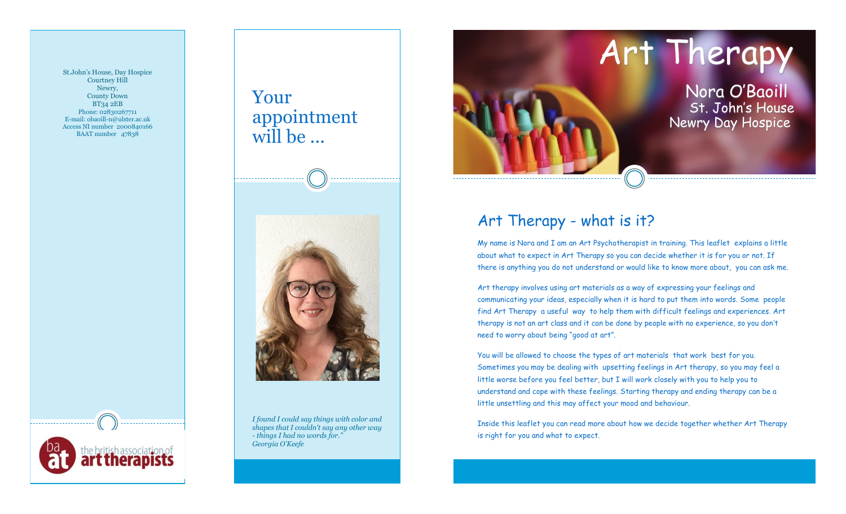St.John's House, Day Hospice Courtney Hill Newry, County Down BT34 2EB Phone: 02830267711 E-mail: obaoill-n@ulster.ac.uk Access NI number 2000840166 BAAT number 47838

Your appointment will be ...



*I found I could say things with color and shapes that I couldn't say any other way - things I had no words for." Georgia O'Keefe*



# Art Therapy - what is it?

My name is Nora and I am an Art Psychotherapist in training. This leaflet explains a little about what to expect in Art Therapy so you can decide whether it is for you or not. If there is anything you do not understand or would like to know more about, you can ask me.

Art therapy involves using art materials as a way of expressing your feelings and communicating your ideas, especially when it is hard to put them into words. Some people find Art Therapy a useful way to help them with difficult feelings and experiences. Art therapy is not an art class and it can be done by people with no experience, so you don't need to worry about being "good at art".

You will be allowed to choose the types of art materials that work best for you. Sometimes you may be dealing with upsetting feelings in Art therapy, so you may feel a little worse before you feel better, but I will work closely with you to help you to understand and cope with these feelings. Starting therapy and ending therapy can be a little unsettling and this may affect your mood and behaviour.

Inside this leaflet you can read more about how we decide together whether Art Therapy is right for you and what to expect.